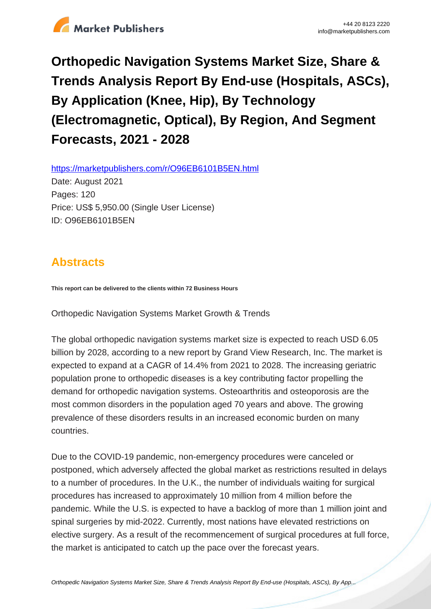

# **Orthopedic Navigation Systems Market Size, Share & Trends Analysis Report By End-use (Hospitals, ASCs), By Application (Knee, Hip), By Technology (Electromagnetic, Optical), By Region, And Segment Forecasts, 2021 - 2028**

https://marketpublishers.com/r/O96EB6101B5EN.html

Date: August 2021 Pages: 120 Price: US\$ 5,950.00 (Single User License) ID: O96EB6101B5EN

# **Abstracts**

**This report can be delivered to the clients within 72 Business Hours**

Orthopedic Navigation Systems Market Growth & Trends

The global orthopedic navigation systems market size is expected to reach USD 6.05 billion by 2028, according to a new report by Grand View Research, Inc. The market is expected to expand at a CAGR of 14.4% from 2021 to 2028. The increasing geriatric population prone to orthopedic diseases is a key contributing factor propelling the demand for orthopedic navigation systems. Osteoarthritis and osteoporosis are the most common disorders in the population aged 70 years and above. The growing prevalence of these disorders results in an increased economic burden on many countries.

Due to the COVID-19 pandemic, non-emergency procedures were canceled or postponed, which adversely affected the global market as restrictions resulted in delays to a number of procedures. In the U.K., the number of individuals waiting for surgical procedures has increased to approximately 10 million from 4 million before the pandemic. While the U.S. is expected to have a backlog of more than 1 million joint and spinal surgeries by mid-2022. Currently, most nations have elevated restrictions on elective surgery. As a result of the recommencement of surgical procedures at full force, the market is anticipated to catch up the pace over the forecast years.

[Orthopedic Navigation Systems Market Size, Share & Trends Analysis Report By End-use \(Hospitals, ASCs\), By App...](https://marketpublishers.com/report/medical_devices/orthopedic/orthopedic-navigation-systems-analysis-application-spine-hip-knee-region-north-america-europe-asia-pacific-latin-america-middle.html)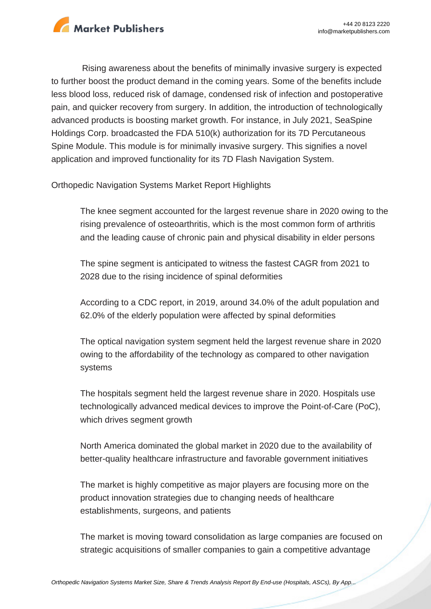

Rising awareness about the benefits of minimally invasive surgery is expected to further boost the product demand in the coming years. Some of the benefits include less blood loss, reduced risk of damage, condensed risk of infection and postoperative pain, and quicker recovery from surgery. In addition, the introduction of technologically advanced products is boosting market growth. For instance, in July 2021, SeaSpine Holdings Corp. broadcasted the FDA 510(k) authorization for its 7D Percutaneous Spine Module. This module is for minimally invasive surgery. This signifies a novel application and improved functionality for its 7D Flash Navigation System.

Orthopedic Navigation Systems Market Report Highlights

The knee segment accounted for the largest revenue share in 2020 owing to the rising prevalence of osteoarthritis, which is the most common form of arthritis and the leading cause of chronic pain and physical disability in elder persons

The spine segment is anticipated to witness the fastest CAGR from 2021 to 2028 due to the rising incidence of spinal deformities

According to a CDC report, in 2019, around 34.0% of the adult population and 62.0% of the elderly population were affected by spinal deformities

The optical navigation system segment held the largest revenue share in 2020 owing to the affordability of the technology as compared to other navigation systems

The hospitals segment held the largest revenue share in 2020. Hospitals use technologically advanced medical devices to improve the Point-of-Care (PoC), which drives segment growth

North America dominated the global market in 2020 due to the availability of better-quality healthcare infrastructure and favorable government initiatives

The market is highly competitive as major players are focusing more on the product innovation strategies due to changing needs of healthcare establishments, surgeons, and patients

The market is moving toward consolidation as large companies are focused on strategic acquisitions of smaller companies to gain a competitive advantage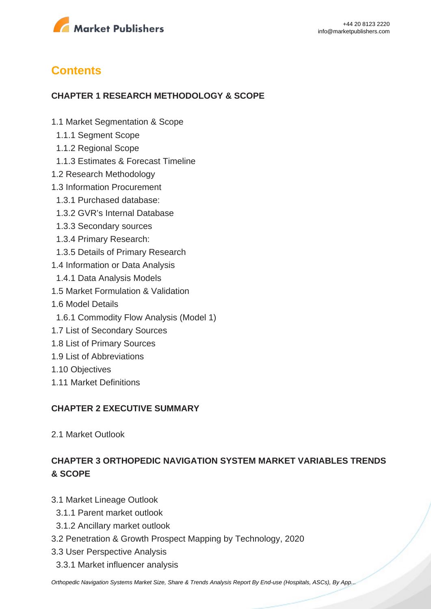

# **Contents**

#### **CHAPTER 1 RESEARCH METHODOLOGY & SCOPE**

- 1.1 Market Segmentation & Scope
- 1.1.1 Segment Scope
- 1.1.2 Regional Scope
- 1.1.3 Estimates & Forecast Timeline
- 1.2 Research Methodology
- 1.3 Information Procurement
- 1.3.1 Purchased database:
- 1.3.2 GVR's Internal Database
- 1.3.3 Secondary sources
- 1.3.4 Primary Research:
- 1.3.5 Details of Primary Research
- 1.4 Information or Data Analysis
- 1.4.1 Data Analysis Models
- 1.5 Market Formulation & Validation
- 1.6 Model Details
- 1.6.1 Commodity Flow Analysis (Model 1)
- 1.7 List of Secondary Sources
- 1.8 List of Primary Sources
- 1.9 List of Abbreviations
- 1.10 Objectives
- 1.11 Market Definitions

#### **CHAPTER 2 EXECUTIVE SUMMARY**

2.1 Market Outlook

# **CHAPTER 3 ORTHOPEDIC NAVIGATION SYSTEM MARKET VARIABLES TRENDS & SCOPE**

- 3.1 Market Lineage Outlook
	- 3.1.1 Parent market outlook
	- 3.1.2 Ancillary market outlook
- 3.2 Penetration & Growth Prospect Mapping by Technology, 2020
- 3.3 User Perspective Analysis
	- 3.3.1 Market influencer analysis

[Orthopedic Navigation Systems Market Size, Share & Trends Analysis Report By End-use \(Hospitals, ASCs\), By App...](https://marketpublishers.com/report/medical_devices/orthopedic/orthopedic-navigation-systems-analysis-application-spine-hip-knee-region-north-america-europe-asia-pacific-latin-america-middle.html)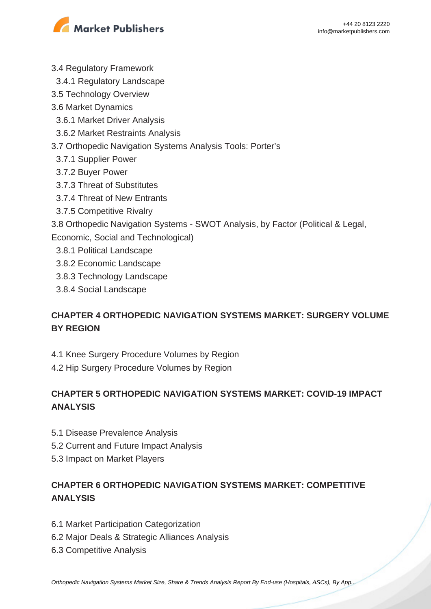

- 3.4 Regulatory Framework
- 3.4.1 Regulatory Landscape
- 3.5 Technology Overview
- 3.6 Market Dynamics
	- 3.6.1 Market Driver Analysis
	- 3.6.2 Market Restraints Analysis
- 3.7 Orthopedic Navigation Systems Analysis Tools: Porter's
	- 3.7.1 Supplier Power
	- 3.7.2 Buyer Power
	- 3.7.3 Threat of Substitutes
	- 3.7.4 Threat of New Entrants
	- 3.7.5 Competitive Rivalry
- 3.8 Orthopedic Navigation Systems SWOT Analysis, by Factor (Political & Legal,
- Economic, Social and Technological)
	- 3.8.1 Political Landscape
- 3.8.2 Economic Landscape
- 3.8.3 Technology Landscape
- 3.8.4 Social Landscape

# **CHAPTER 4 ORTHOPEDIC NAVIGATION SYSTEMS MARKET: SURGERY VOLUME BY REGION**

- 4.1 Knee Surgery Procedure Volumes by Region
- 4.2 Hip Surgery Procedure Volumes by Region

# **CHAPTER 5 ORTHOPEDIC NAVIGATION SYSTEMS MARKET: COVID-19 IMPACT ANALYSIS**

- 5.1 Disease Prevalence Analysis
- 5.2 Current and Future Impact Analysis
- 5.3 Impact on Market Players

# **CHAPTER 6 ORTHOPEDIC NAVIGATION SYSTEMS MARKET: COMPETITIVE ANALYSIS**

- 6.1 Market Participation Categorization
- 6.2 Major Deals & Strategic Alliances Analysis
- 6.3 Competitive Analysis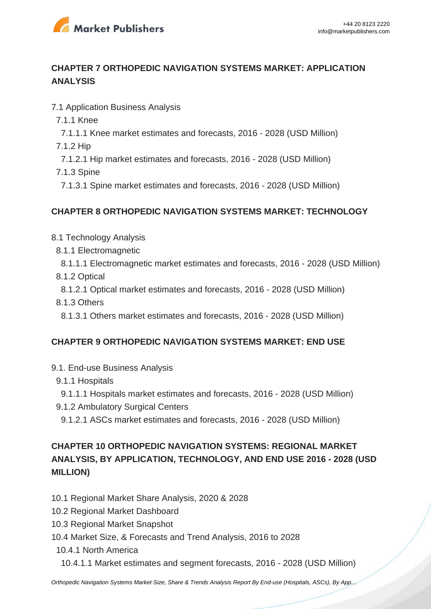

### **CHAPTER 7 ORTHOPEDIC NAVIGATION SYSTEMS MARKET: APPLICATION ANALYSIS**

- 7.1 Application Business Analysis
	- 7.1.1 Knee
	- 7.1.1.1 Knee market estimates and forecasts, 2016 2028 (USD Million)
	- 7.1.2 Hip
	- 7.1.2.1 Hip market estimates and forecasts, 2016 2028 (USD Million)
	- 7.1.3 Spine
	- 7.1.3.1 Spine market estimates and forecasts, 2016 2028 (USD Million)

#### **CHAPTER 8 ORTHOPEDIC NAVIGATION SYSTEMS MARKET: TECHNOLOGY**

- 8.1 Technology Analysis
	- 8.1.1 Electromagnetic
	- 8.1.1.1 Electromagnetic market estimates and forecasts, 2016 2028 (USD Million) 8.1.2 Optical
	- 8.1.2.1 Optical market estimates and forecasts, 2016 2028 (USD Million)
	- 8.1.3 Others
	- 8.1.3.1 Others market estimates and forecasts, 2016 2028 (USD Million)

#### **CHAPTER 9 ORTHOPEDIC NAVIGATION SYSTEMS MARKET: END USE**

- 9.1. End-use Business Analysis
	- 9.1.1 Hospitals

 9.1.1.1 Hospitals market estimates and forecasts, 2016 - 2028 (USD Million) 9.1.2 Ambulatory Surgical Centers

9.1.2.1 ASCs market estimates and forecasts, 2016 - 2028 (USD Million)

# **CHAPTER 10 ORTHOPEDIC NAVIGATION SYSTEMS: REGIONAL MARKET ANALYSIS, BY APPLICATION, TECHNOLOGY, AND END USE 2016 - 2028 (USD MILLION)**

- 10.1 Regional Market Share Analysis, 2020 & 2028
- 10.2 Regional Market Dashboard
- 10.3 Regional Market Snapshot
- 10.4 Market Size, & Forecasts and Trend Analysis, 2016 to 2028
	- 10.4.1 North America
		- 10.4.1.1 Market estimates and segment forecasts, 2016 2028 (USD Million)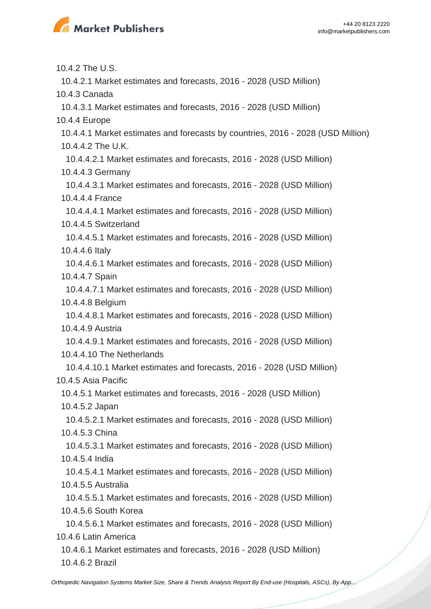

10.4.2 The U.S.

10.4.2.1 Market estimates and forecasts, 2016 - 2028 (USD Million)

10.4.3 Canada

10.4.3.1 Market estimates and forecasts, 2016 - 2028 (USD Million)

10.4.4 Europe

 10.4.4.1 Market estimates and forecasts by countries, 2016 - 2028 (USD Million) 10.4.4.2 The U.K.

 10.4.4.2.1 Market estimates and forecasts, 2016 - 2028 (USD Million) 10.4.4.3 Germany

 10.4.4.3.1 Market estimates and forecasts, 2016 - 2028 (USD Million) 10.4.4.4 France

 10.4.4.4.1 Market estimates and forecasts, 2016 - 2028 (USD Million) 10.4.4.5 Switzerland

 10.4.4.5.1 Market estimates and forecasts, 2016 - 2028 (USD Million) 10.4.4.6 Italy

 10.4.4.6.1 Market estimates and forecasts, 2016 - 2028 (USD Million) 10.4.4.7 Spain

 10.4.4.7.1 Market estimates and forecasts, 2016 - 2028 (USD Million) 10.4.4.8 Belgium

 10.4.4.8.1 Market estimates and forecasts, 2016 - 2028 (USD Million) 10.4.4.9 Austria

 10.4.4.9.1 Market estimates and forecasts, 2016 - 2028 (USD Million) 10.4.4.10 The Netherlands

 10.4.4.10.1 Market estimates and forecasts, 2016 - 2028 (USD Million) 10.4.5 Asia Pacific

 10.4.5.1 Market estimates and forecasts, 2016 - 2028 (USD Million) 10.4.5.2 Japan

 10.4.5.2.1 Market estimates and forecasts, 2016 - 2028 (USD Million) 10.4.5.3 China

 10.4.5.3.1 Market estimates and forecasts, 2016 - 2028 (USD Million) 10.4.5.4 India

 10.4.5.4.1 Market estimates and forecasts, 2016 - 2028 (USD Million) 10.4.5.5 Australia

 10.4.5.5.1 Market estimates and forecasts, 2016 - 2028 (USD Million) 10.4.5.6 South Korea

 10.4.5.6.1 Market estimates and forecasts, 2016 - 2028 (USD Million) 10.4.6 Latin America

 10.4.6.1 Market estimates and forecasts, 2016 - 2028 (USD Million) 10.4.6.2 Brazil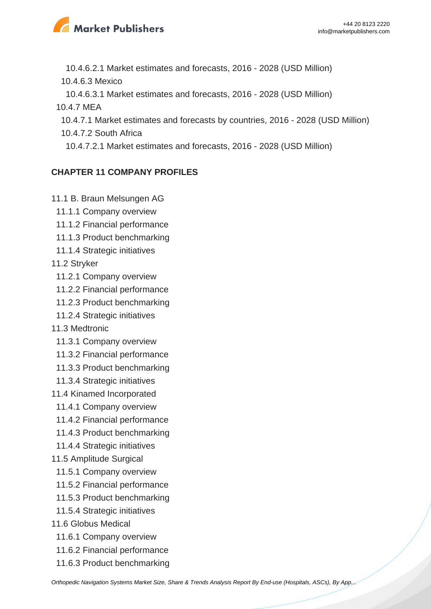

10.4.6.2.1 Market estimates and forecasts, 2016 - 2028 (USD Million)

10.4.6.3 Mexico

10.4.6.3.1 Market estimates and forecasts, 2016 - 2028 (USD Million)

10.4.7 MEA

- 10.4.7.1 Market estimates and forecasts by countries, 2016 2028 (USD Million)
- 10.4.7.2 South Africa
- 10.4.7.2.1 Market estimates and forecasts, 2016 2028 (USD Million)

# **CHAPTER 11 COMPANY PROFILES**

- 11.1 B. Braun Melsungen AG
	- 11.1.1 Company overview
	- 11.1.2 Financial performance
	- 11.1.3 Product benchmarking
	- 11.1.4 Strategic initiatives
- 11.2 Stryker
	- 11.2.1 Company overview
	- 11.2.2 Financial performance
	- 11.2.3 Product benchmarking
	- 11.2.4 Strategic initiatives
- 11.3 Medtronic
	- 11.3.1 Company overview
	- 11.3.2 Financial performance
	- 11.3.3 Product benchmarking
	- 11.3.4 Strategic initiatives
- 11.4 Kinamed Incorporated
	- 11.4.1 Company overview
	- 11.4.2 Financial performance
	- 11.4.3 Product benchmarking
	- 11.4.4 Strategic initiatives
- 11.5 Amplitude Surgical
	- 11.5.1 Company overview
- 11.5.2 Financial performance
- 11.5.3 Product benchmarking
- 11.5.4 Strategic initiatives
- 11.6 Globus Medical
	- 11.6.1 Company overview
	- 11.6.2 Financial performance
	- 11.6.3 Product benchmarking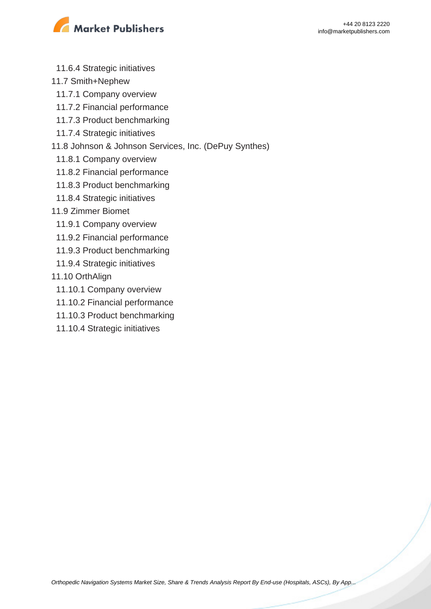

- 11.6.4 Strategic initiatives
- 11.7 Smith+Nephew
	- 11.7.1 Company overview
	- 11.7.2 Financial performance
	- 11.7.3 Product benchmarking
	- 11.7.4 Strategic initiatives
- 11.8 Johnson & Johnson Services, Inc. (DePuy Synthes)
	- 11.8.1 Company overview
	- 11.8.2 Financial performance
	- 11.8.3 Product benchmarking
	- 11.8.4 Strategic initiatives
- 11.9 Zimmer Biomet
- 11.9.1 Company overview
- 11.9.2 Financial performance
- 11.9.3 Product benchmarking
- 11.9.4 Strategic initiatives
- 11.10 OrthAlign
	- 11.10.1 Company overview
	- 11.10.2 Financial performance
	- 11.10.3 Product benchmarking
	- 11.10.4 Strategic initiatives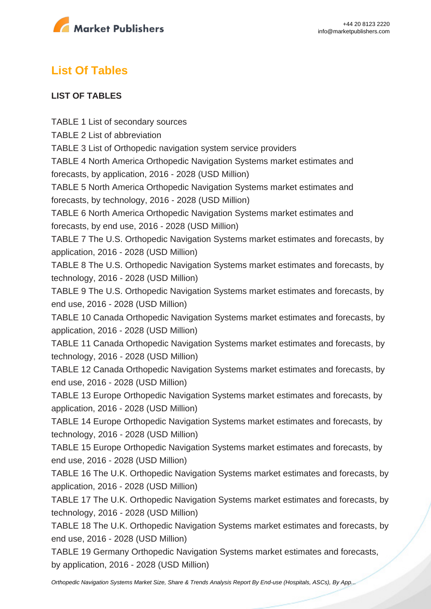

# **List Of Tables**

#### **LIST OF TABLES**

TABLE 1 List of secondary sources TABLE 2 List of abbreviation TABLE 3 List of Orthopedic navigation system service providers TABLE 4 North America Orthopedic Navigation Systems market estimates and forecasts, by application, 2016 - 2028 (USD Million) TABLE 5 North America Orthopedic Navigation Systems market estimates and forecasts, by technology, 2016 - 2028 (USD Million) TABLE 6 North America Orthopedic Navigation Systems market estimates and forecasts, by end use, 2016 - 2028 (USD Million) TABLE 7 The U.S. Orthopedic Navigation Systems market estimates and forecasts, by application, 2016 - 2028 (USD Million) TABLE 8 The U.S. Orthopedic Navigation Systems market estimates and forecasts, by technology, 2016 - 2028 (USD Million) TABLE 9 The U.S. Orthopedic Navigation Systems market estimates and forecasts, by end use, 2016 - 2028 (USD Million) TABLE 10 Canada Orthopedic Navigation Systems market estimates and forecasts, by application, 2016 - 2028 (USD Million) TABLE 11 Canada Orthopedic Navigation Systems market estimates and forecasts, by technology, 2016 - 2028 (USD Million) TABLE 12 Canada Orthopedic Navigation Systems market estimates and forecasts, by end use, 2016 - 2028 (USD Million) TABLE 13 Europe Orthopedic Navigation Systems market estimates and forecasts, by application, 2016 - 2028 (USD Million) TABLE 14 Europe Orthopedic Navigation Systems market estimates and forecasts, by technology, 2016 - 2028 (USD Million) TABLE 15 Europe Orthopedic Navigation Systems market estimates and forecasts, by end use, 2016 - 2028 (USD Million) TABLE 16 The U.K. Orthopedic Navigation Systems market estimates and forecasts, by application, 2016 - 2028 (USD Million) TABLE 17 The U.K. Orthopedic Navigation Systems market estimates and forecasts, by technology, 2016 - 2028 (USD Million) TABLE 18 The U.K. Orthopedic Navigation Systems market estimates and forecasts, by end use, 2016 - 2028 (USD Million) TABLE 19 Germany Orthopedic Navigation Systems market estimates and forecasts, by application, 2016 - 2028 (USD Million)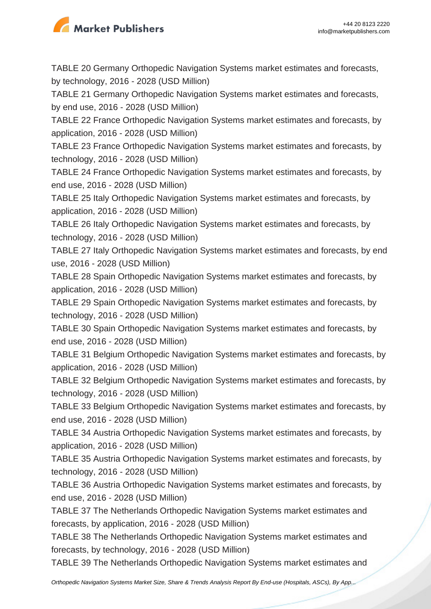

TABLE 20 Germany Orthopedic Navigation Systems market estimates and forecasts, by technology, 2016 - 2028 (USD Million)

TABLE 21 Germany Orthopedic Navigation Systems market estimates and forecasts, by end use, 2016 - 2028 (USD Million)

TABLE 22 France Orthopedic Navigation Systems market estimates and forecasts, by application, 2016 - 2028 (USD Million)

TABLE 23 France Orthopedic Navigation Systems market estimates and forecasts, by technology, 2016 - 2028 (USD Million)

TABLE 24 France Orthopedic Navigation Systems market estimates and forecasts, by end use, 2016 - 2028 (USD Million)

TABLE 25 Italy Orthopedic Navigation Systems market estimates and forecasts, by application, 2016 - 2028 (USD Million)

TABLE 26 Italy Orthopedic Navigation Systems market estimates and forecasts, by technology, 2016 - 2028 (USD Million)

TABLE 27 Italy Orthopedic Navigation Systems market estimates and forecasts, by end use, 2016 - 2028 (USD Million)

TABLE 28 Spain Orthopedic Navigation Systems market estimates and forecasts, by application, 2016 - 2028 (USD Million)

TABLE 29 Spain Orthopedic Navigation Systems market estimates and forecasts, by technology, 2016 - 2028 (USD Million)

TABLE 30 Spain Orthopedic Navigation Systems market estimates and forecasts, by end use, 2016 - 2028 (USD Million)

TABLE 31 Belgium Orthopedic Navigation Systems market estimates and forecasts, by application, 2016 - 2028 (USD Million)

TABLE 32 Belgium Orthopedic Navigation Systems market estimates and forecasts, by technology, 2016 - 2028 (USD Million)

TABLE 33 Belgium Orthopedic Navigation Systems market estimates and forecasts, by end use, 2016 - 2028 (USD Million)

TABLE 34 Austria Orthopedic Navigation Systems market estimates and forecasts, by application, 2016 - 2028 (USD Million)

TABLE 35 Austria Orthopedic Navigation Systems market estimates and forecasts, by technology, 2016 - 2028 (USD Million)

TABLE 36 Austria Orthopedic Navigation Systems market estimates and forecasts, by end use, 2016 - 2028 (USD Million)

TABLE 37 The Netherlands Orthopedic Navigation Systems market estimates and forecasts, by application, 2016 - 2028 (USD Million)

TABLE 38 The Netherlands Orthopedic Navigation Systems market estimates and forecasts, by technology, 2016 - 2028 (USD Million)

TABLE 39 The Netherlands Orthopedic Navigation Systems market estimates and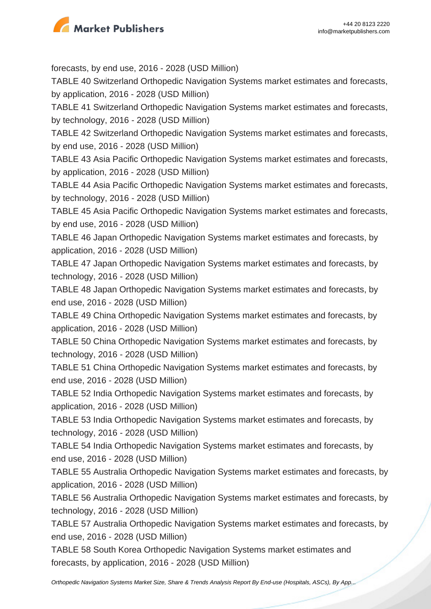

forecasts, by end use, 2016 - 2028 (USD Million) TABLE 40 Switzerland Orthopedic Navigation Systems market estimates and forecasts, by application, 2016 - 2028 (USD Million) TABLE 41 Switzerland Orthopedic Navigation Systems market estimates and forecasts, by technology, 2016 - 2028 (USD Million) TABLE 42 Switzerland Orthopedic Navigation Systems market estimates and forecasts, by end use, 2016 - 2028 (USD Million) TABLE 43 Asia Pacific Orthopedic Navigation Systems market estimates and forecasts, by application, 2016 - 2028 (USD Million) TABLE 44 Asia Pacific Orthopedic Navigation Systems market estimates and forecasts, by technology, 2016 - 2028 (USD Million) TABLE 45 Asia Pacific Orthopedic Navigation Systems market estimates and forecasts, by end use, 2016 - 2028 (USD Million) TABLE 46 Japan Orthopedic Navigation Systems market estimates and forecasts, by application, 2016 - 2028 (USD Million) TABLE 47 Japan Orthopedic Navigation Systems market estimates and forecasts, by technology, 2016 - 2028 (USD Million) TABLE 48 Japan Orthopedic Navigation Systems market estimates and forecasts, by end use, 2016 - 2028 (USD Million) TABLE 49 China Orthopedic Navigation Systems market estimates and forecasts, by application, 2016 - 2028 (USD Million) TABLE 50 China Orthopedic Navigation Systems market estimates and forecasts, by technology, 2016 - 2028 (USD Million) TABLE 51 China Orthopedic Navigation Systems market estimates and forecasts, by end use, 2016 - 2028 (USD Million) TABLE 52 India Orthopedic Navigation Systems market estimates and forecasts, by application, 2016 - 2028 (USD Million) TABLE 53 India Orthopedic Navigation Systems market estimates and forecasts, by technology, 2016 - 2028 (USD Million) TABLE 54 India Orthopedic Navigation Systems market estimates and forecasts, by end use, 2016 - 2028 (USD Million) TABLE 55 Australia Orthopedic Navigation Systems market estimates and forecasts, by application, 2016 - 2028 (USD Million) TABLE 56 Australia Orthopedic Navigation Systems market estimates and forecasts, by technology, 2016 - 2028 (USD Million) TABLE 57 Australia Orthopedic Navigation Systems market estimates and forecasts, by end use, 2016 - 2028 (USD Million)

TABLE 58 South Korea Orthopedic Navigation Systems market estimates and forecasts, by application, 2016 - 2028 (USD Million)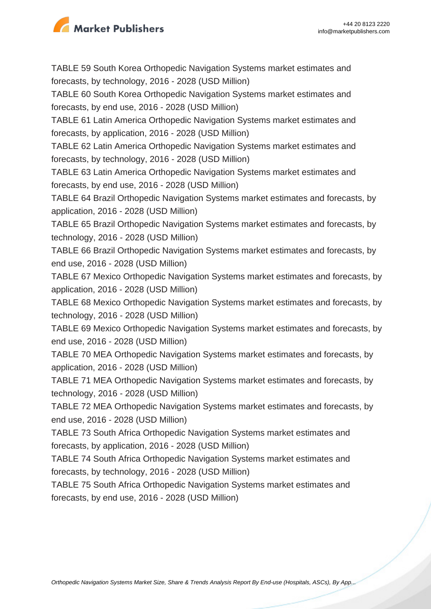

TABLE 59 South Korea Orthopedic Navigation Systems market estimates and forecasts, by technology, 2016 - 2028 (USD Million) TABLE 60 South Korea Orthopedic Navigation Systems market estimates and forecasts, by end use, 2016 - 2028 (USD Million) TABLE 61 Latin America Orthopedic Navigation Systems market estimates and forecasts, by application, 2016 - 2028 (USD Million) TABLE 62 Latin America Orthopedic Navigation Systems market estimates and forecasts, by technology, 2016 - 2028 (USD Million) TABLE 63 Latin America Orthopedic Navigation Systems market estimates and forecasts, by end use, 2016 - 2028 (USD Million) TABLE 64 Brazil Orthopedic Navigation Systems market estimates and forecasts, by application, 2016 - 2028 (USD Million) TABLE 65 Brazil Orthopedic Navigation Systems market estimates and forecasts, by technology, 2016 - 2028 (USD Million) TABLE 66 Brazil Orthopedic Navigation Systems market estimates and forecasts, by end use, 2016 - 2028 (USD Million) TABLE 67 Mexico Orthopedic Navigation Systems market estimates and forecasts, by application, 2016 - 2028 (USD Million) TABLE 68 Mexico Orthopedic Navigation Systems market estimates and forecasts, by technology, 2016 - 2028 (USD Million) TABLE 69 Mexico Orthopedic Navigation Systems market estimates and forecasts, by end use, 2016 - 2028 (USD Million) TABLE 70 MEA Orthopedic Navigation Systems market estimates and forecasts, by application, 2016 - 2028 (USD Million) TABLE 71 MEA Orthopedic Navigation Systems market estimates and forecasts, by technology, 2016 - 2028 (USD Million) TABLE 72 MEA Orthopedic Navigation Systems market estimates and forecasts, by end use, 2016 - 2028 (USD Million) TABLE 73 South Africa Orthopedic Navigation Systems market estimates and forecasts, by application, 2016 - 2028 (USD Million) TABLE 74 South Africa Orthopedic Navigation Systems market estimates and forecasts, by technology, 2016 - 2028 (USD Million) TABLE 75 South Africa Orthopedic Navigation Systems market estimates and forecasts, by end use, 2016 - 2028 (USD Million)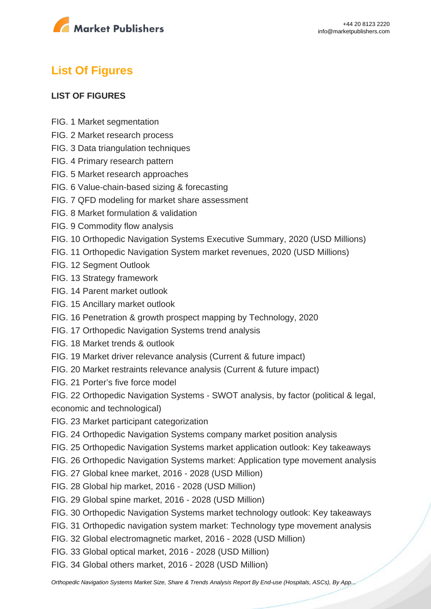

# **List Of Figures**

#### **LIST OF FIGURES**

- FIG. 1 Market segmentation
- FIG. 2 Market research process
- FIG. 3 Data triangulation techniques
- FIG. 4 Primary research pattern
- FIG. 5 Market research approaches
- FIG. 6 Value-chain-based sizing & forecasting
- FIG. 7 QFD modeling for market share assessment
- FIG. 8 Market formulation & validation
- FIG. 9 Commodity flow analysis
- FIG. 10 Orthopedic Navigation Systems Executive Summary, 2020 (USD Millions)
- FIG. 11 Orthopedic Navigation System market revenues, 2020 (USD Millions)
- FIG. 12 Segment Outlook
- FIG. 13 Strategy framework
- FIG. 14 Parent market outlook
- FIG. 15 Ancillary market outlook
- FIG. 16 Penetration & growth prospect mapping by Technology, 2020
- FIG. 17 Orthopedic Navigation Systems trend analysis
- FIG. 18 Market trends & outlook
- FIG. 19 Market driver relevance analysis (Current & future impact)
- FIG. 20 Market restraints relevance analysis (Current & future impact)
- FIG. 21 Porter's five force model

FIG. 22 Orthopedic Navigation Systems - SWOT analysis, by factor (political & legal, economic and technological)

- FIG. 23 Market participant categorization
- FIG. 24 Orthopedic Navigation Systems company market position analysis
- FIG. 25 Orthopedic Navigation Systems market application outlook: Key takeaways
- FIG. 26 Orthopedic Navigation Systems market: Application type movement analysis
- FIG. 27 Global knee market, 2016 2028 (USD Million)
- FIG. 28 Global hip market, 2016 2028 (USD Million)
- FIG. 29 Global spine market, 2016 2028 (USD Million)
- FIG. 30 Orthopedic Navigation Systems market technology outlook: Key takeaways
- FIG. 31 Orthopedic navigation system market: Technology type movement analysis
- FIG. 32 Global electromagnetic market, 2016 2028 (USD Million)
- FIG. 33 Global optical market, 2016 2028 (USD Million)
- FIG. 34 Global others market, 2016 2028 (USD Million)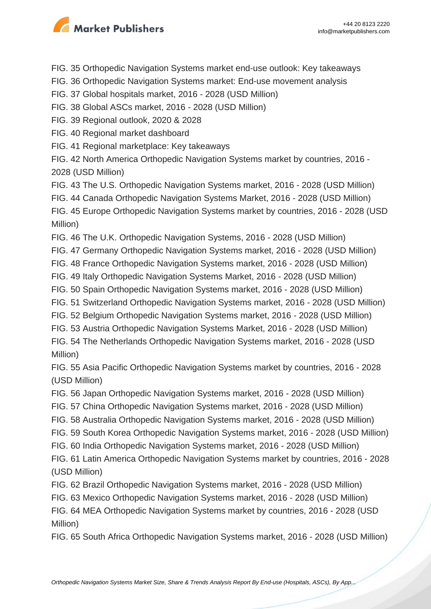

- FIG. 35 Orthopedic Navigation Systems market end-use outlook: Key takeaways
- FIG. 36 Orthopedic Navigation Systems market: End-use movement analysis
- FIG. 37 Global hospitals market, 2016 2028 (USD Million)
- FIG. 38 Global ASCs market, 2016 2028 (USD Million)
- FIG. 39 Regional outlook, 2020 & 2028
- FIG. 40 Regional market dashboard
- FIG. 41 Regional marketplace: Key takeaways
- FIG. 42 North America Orthopedic Navigation Systems market by countries, 2016 2028 (USD Million)
- FIG. 43 The U.S. Orthopedic Navigation Systems market, 2016 2028 (USD Million)
- FIG. 44 Canada Orthopedic Navigation Systems Market, 2016 2028 (USD Million)

FIG. 45 Europe Orthopedic Navigation Systems market by countries, 2016 - 2028 (USD Million)

- FIG. 46 The U.K. Orthopedic Navigation Systems, 2016 2028 (USD Million)
- FIG. 47 Germany Orthopedic Navigation Systems market, 2016 2028 (USD Million)
- FIG. 48 France Orthopedic Navigation Systems market, 2016 2028 (USD Million)
- FIG. 49 Italy Orthopedic Navigation Systems Market, 2016 2028 (USD Million)
- FIG. 50 Spain Orthopedic Navigation Systems market, 2016 2028 (USD Million)
- FIG. 51 Switzerland Orthopedic Navigation Systems market, 2016 2028 (USD Million)
- FIG. 52 Belgium Orthopedic Navigation Systems market, 2016 2028 (USD Million)
- FIG. 53 Austria Orthopedic Navigation Systems Market, 2016 2028 (USD Million)

FIG. 54 The Netherlands Orthopedic Navigation Systems market, 2016 - 2028 (USD Million)

FIG. 55 Asia Pacific Orthopedic Navigation Systems market by countries, 2016 - 2028 (USD Million)

- FIG. 56 Japan Orthopedic Navigation Systems market, 2016 2028 (USD Million)
- FIG. 57 China Orthopedic Navigation Systems market, 2016 2028 (USD Million)
- FIG. 58 Australia Orthopedic Navigation Systems market, 2016 2028 (USD Million)
- FIG. 59 South Korea Orthopedic Navigation Systems market, 2016 2028 (USD Million)
- FIG. 60 India Orthopedic Navigation Systems market, 2016 2028 (USD Million)

FIG. 61 Latin America Orthopedic Navigation Systems market by countries, 2016 - 2028 (USD Million)

FIG. 62 Brazil Orthopedic Navigation Systems market, 2016 - 2028 (USD Million)

FIG. 63 Mexico Orthopedic Navigation Systems market, 2016 - 2028 (USD Million)

FIG. 64 MEA Orthopedic Navigation Systems market by countries, 2016 - 2028 (USD Million)

FIG. 65 South Africa Orthopedic Navigation Systems market, 2016 - 2028 (USD Million)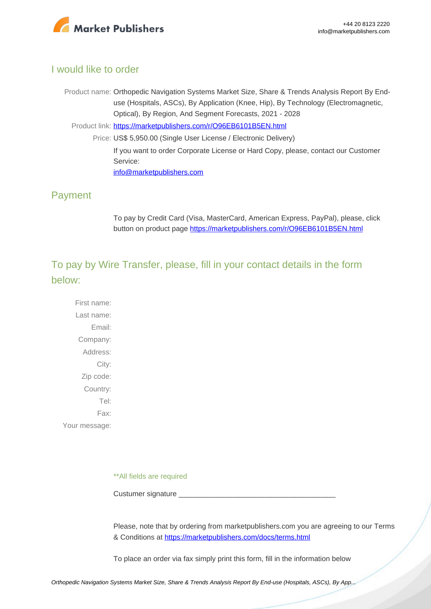

#### I would like to order

Product name: Orthopedic Navigation Systems Market Size, Share & Trends Analysis Report By Enduse (Hospitals, ASCs), By Application (Knee, Hip), By Technology (Electromagnetic, Optical), By Region, And Segment Forecasts, 2021 - 2028

Product link: [https://marketpublishers.com/r/O96EB6101B5EN.html](https://marketpublishers.com/report/medical_devices/orthopedic/orthopedic-navigation-systems-analysis-application-spine-hip-knee-region-north-america-europe-asia-pacific-latin-america-middle.html)

Price: US\$ 5,950.00 (Single User License / Electronic Delivery) If you want to order Corporate License or Hard Copy, please, contact our Customer Service: [info@marketpublishers.com](mailto:info@marketpublishers.com)

#### Payment

To pay by Credit Card (Visa, MasterCard, American Express, PayPal), please, click button on product page [https://marketpublishers.com/r/O96EB6101B5EN.html](https://marketpublishers.com/report/medical_devices/orthopedic/orthopedic-navigation-systems-analysis-application-spine-hip-knee-region-north-america-europe-asia-pacific-latin-america-middle.html)

To pay by Wire Transfer, please, fill in your contact details in the form below:

First name: Last name: Email: Company: Address: City: Zip code: Country: Tel: Fax: Your message:

\*\*All fields are required

Custumer signature \_

Please, note that by ordering from marketpublishers.com you are agreeing to our Terms & Conditions at<https://marketpublishers.com/docs/terms.html>

To place an order via fax simply print this form, fill in the information below